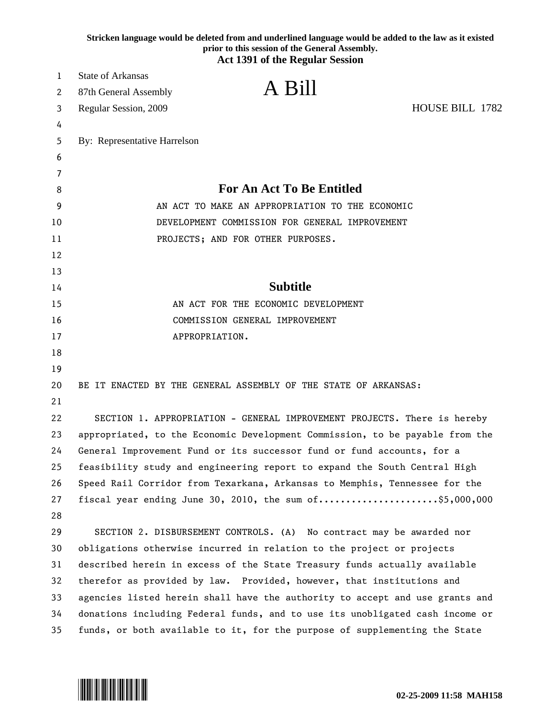|    | Stricken language would be deleted from and underlined language would be added to the law as it existed<br>prior to this session of the General Assembly.<br><b>Act 1391 of the Regular Session</b> |
|----|-----------------------------------------------------------------------------------------------------------------------------------------------------------------------------------------------------|
| 1  | <b>State of Arkansas</b>                                                                                                                                                                            |
| 2  | A Bill<br>87th General Assembly                                                                                                                                                                     |
| 3  | <b>HOUSE BILL 1782</b><br>Regular Session, 2009                                                                                                                                                     |
| 4  |                                                                                                                                                                                                     |
| 5  | By: Representative Harrelson                                                                                                                                                                        |
| 6  |                                                                                                                                                                                                     |
| 7  |                                                                                                                                                                                                     |
| 8  | <b>For An Act To Be Entitled</b>                                                                                                                                                                    |
| 9  | AN ACT TO MAKE AN APPROPRIATION TO THE ECONOMIC                                                                                                                                                     |
| 10 | DEVELOPMENT COMMISSION FOR GENERAL IMPROVEMENT                                                                                                                                                      |
| 11 | PROJECTS; AND FOR OTHER PURPOSES.                                                                                                                                                                   |
| 12 |                                                                                                                                                                                                     |
| 13 |                                                                                                                                                                                                     |
| 14 | <b>Subtitle</b>                                                                                                                                                                                     |
| 15 | AN ACT FOR THE ECONOMIC DEVELOPMENT                                                                                                                                                                 |
| 16 | COMMISSION GENERAL IMPROVEMENT                                                                                                                                                                      |
| 17 | APPROPRIATION.                                                                                                                                                                                      |
| 18 |                                                                                                                                                                                                     |
| 19 |                                                                                                                                                                                                     |
| 20 | BE IT ENACTED BY THE GENERAL ASSEMBLY OF THE STATE OF ARKANSAS:                                                                                                                                     |
| 21 |                                                                                                                                                                                                     |
| 22 | SECTION 1. APPROPRIATION - GENERAL IMPROVEMENT PROJECTS. There is hereby                                                                                                                            |
| 23 | appropriated, to the Economic Development Commission, to be payable from the                                                                                                                        |
| 24 | General Improvement Fund or its successor fund or fund accounts, for a                                                                                                                              |
| 25 | feasibility study and engineering report to expand the South Central High                                                                                                                           |
| 26 | Speed Rail Corridor from Texarkana, Arkansas to Memphis, Tennessee for the                                                                                                                          |
| 27 | fiscal year ending June 30, 2010, the sum $of$ \$5,000,000                                                                                                                                          |
| 28 |                                                                                                                                                                                                     |
| 29 | SECTION 2. DISBURSEMENT CONTROLS. (A) No contract may be awarded nor                                                                                                                                |
| 30 | obligations otherwise incurred in relation to the project or projects                                                                                                                               |
| 31 | described herein in excess of the State Treasury funds actually available                                                                                                                           |
| 32 | therefor as provided by law. Provided, however, that institutions and                                                                                                                               |
| 33 | agencies listed herein shall have the authority to accept and use grants and                                                                                                                        |
| 34 | donations including Federal funds, and to use its unobligated cash income or                                                                                                                        |
| 35 | funds, or both available to it, for the purpose of supplementing the State                                                                                                                          |